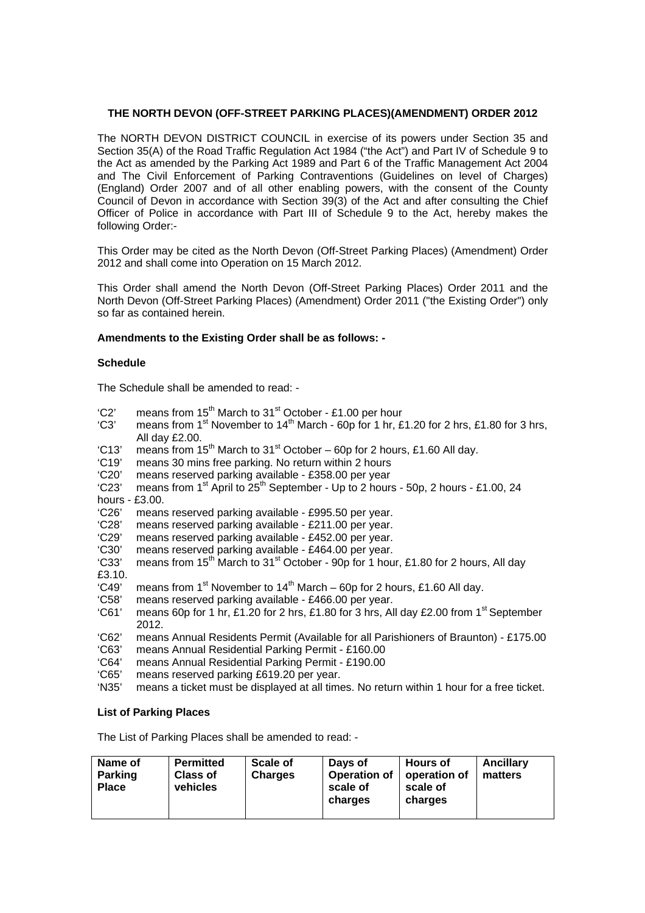#### **THE NORTH DEVON (OFF-STREET PARKING PLACES)(AMENDMENT) ORDER 2012**

The NORTH DEVON DISTRICT COUNCIL in exercise of its powers under Section 35 and Section 35(A) of the Road Traffic Regulation Act 1984 ("the Act") and Part IV of Schedule 9 to the Act as amended by the Parking Act 1989 and Part 6 of the Traffic Management Act 2004 and The Civil Enforcement of Parking Contraventions (Guidelines on level of Charges) (England) Order 2007 and of all other enabling powers, with the consent of the County Council of Devon in accordance with Section 39(3) of the Act and after consulting the Chief Officer of Police in accordance with Part III of Schedule 9 to the Act, hereby makes the following Order:-

This Order may be cited as the North Devon (Off-Street Parking Places) (Amendment) Order 2012 and shall come into Operation on 15 March 2012.

This Order shall amend the North Devon (Off-Street Parking Places) Order 2011 and the North Devon (Off-Street Parking Places) (Amendment) Order 2011 ("the Existing Order") only so far as contained herein.

#### **Amendments to the Existing Order shall be as follows: -**

#### **Schedule**

The Schedule shall be amended to read: -

- 'C2' means from  $15^{th}$  March to  $31^{st}$  October £1.00 per hour<br>'C3' means from  $1^{st}$  November to  $14^{th}$  March 60p for 1 hr. £
- means from 1<sup>st</sup> November to 14<sup>th</sup> March 60p for 1 hr, £1.20 for 2 hrs, £1.80 for 3 hrs, All day £2.00.
- $^{\circ}$ C13' means from 15<sup>th</sup> March to 31<sup>st</sup> October 60p for 2 hours, £1.60 All day.
- 'C19' means 30 mins free parking. No return within 2 hours
- 'C20' means reserved parking available £358.00 per year
- 'C23' means from  $1^{st}$  April to  $25^{th}$  September Up to 2 hours 50p, 2 hours £1.00, 24
- hours £3.00.<br>'C26' means
- 'C26' means reserved parking available £995.50 per year.
- 'C28' means reserved parking available £211.00 per year. means reserved parking available - £452.00 per year.
- 'C30' means reserved parking available £464.00 per year.
- 'C33' means from 15<sup>th</sup> March to 31<sup>st</sup> October 90p for 1 hour, £1.80 for 2 hours, All day £3.10.
- 'C49' means from  $1<sup>st</sup>$  November to  $14<sup>th</sup>$  March 60p for 2 hours, £1.60 All day.
- 'C58' means reserved parking available £466.00 per year.
- 'C61' means 60p for 1 hr, £1.20 for 2 hrs, £1.80 for 3 hrs, All day £2.00 from 1<sup>st</sup> September 2012.
- 'C62' means Annual Residents Permit (Available for all Parishioners of Braunton) £175.00
- means Annual Residential Parking Permit £160.00
- 'C64' means Annual Residential Parking Permit £190.00
- 'C65' means reserved parking £619.20 per year.
- means a ticket must be displayed at all times. No return within 1 hour for a free ticket.

# **List of Parking Places**

The List of Parking Places shall be amended to read: -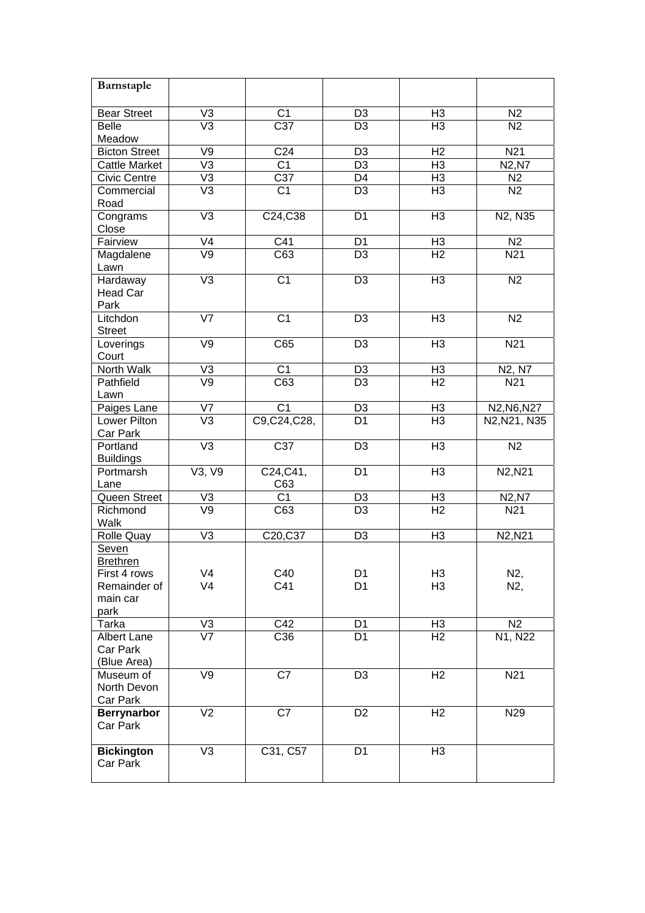| Barnstaple                           |                           |                  |                |                |                                                   |
|--------------------------------------|---------------------------|------------------|----------------|----------------|---------------------------------------------------|
| <b>Bear Street</b>                   | V <sub>3</sub>            | C <sub>1</sub>   | D <sub>3</sub> | H <sub>3</sub> | N2                                                |
| <b>Belle</b>                         | $\overline{\vee}$ 3       | $\overline{C37}$ | D <sub>3</sub> | H <sub>3</sub> | $\overline{N2}$                                   |
| Meadow                               |                           |                  |                |                |                                                   |
| <b>Bicton Street</b>                 | V9                        | C <sub>24</sub>  | D <sub>3</sub> | H <sub>2</sub> | N <sub>21</sub>                                   |
| <b>Cattle Market</b>                 | $\overline{\vee}$         | C <sub>1</sub>   | D <sub>3</sub> | H <sub>3</sub> | N2, N7                                            |
| <b>Civic Centre</b>                  | V <sub>3</sub>            | C37              | D <sub>4</sub> | H <sub>3</sub> | N2                                                |
| Commercial<br>Road                   | V <sub>3</sub>            | C <sub>1</sub>   | D <sub>3</sub> | H <sub>3</sub> | N2                                                |
| Congrams<br>Close                    | V <sub>3</sub>            | C24, C38         | D <sub>1</sub> | H <sub>3</sub> | N2, N35                                           |
| Fairview                             | V4                        | C41              | D <sub>1</sub> | H <sub>3</sub> | N2                                                |
| Magdalene<br>Lawn                    | $\overline{V}9$           | $\overline{C63}$ | D <sub>3</sub> | H <sub>2</sub> | N <sub>21</sub>                                   |
| <b>Hardaway</b>                      | $\overline{\vee}$         | $\overline{C1}$  | D <sub>3</sub> | H <sub>3</sub> | N <sub>2</sub>                                    |
| <b>Head Car</b><br>Park              |                           |                  |                |                |                                                   |
| Litchdon<br><b>Street</b>            | $\overline{\mathsf{V7}}$  | $\overline{C1}$  | D <sub>3</sub> | H <sub>3</sub> | $\overline{N2}$                                   |
| Loverings<br>Court                   | V9                        | C65              | D <sub>3</sub> | H <sub>3</sub> | N21                                               |
| North Walk                           | V <sub>3</sub>            | $\overline{C1}$  | D <sub>3</sub> | H <sub>3</sub> | N2, N7                                            |
| Pathfield                            | V <sub>9</sub>            | $\overline{C63}$ | D <sub>3</sub> | H <sub>2</sub> | N21                                               |
| Lawn                                 |                           | $\overline{C1}$  |                |                |                                                   |
| Paiges Lane                          | V7<br>$\overline{\vee}$ 3 |                  | D <sub>3</sub> | H <sub>3</sub> | N <sub>2</sub> , N <sub>6</sub> , N <sub>27</sub> |
| Lower Pilton<br>Car Park             |                           | C9,C24,C28,      | D <sub>1</sub> | H <sub>3</sub> | N2, N21, N35                                      |
| Portland<br><b>Buildings</b>         | $\overline{\vee}$         | $\overline{C37}$ | D <sub>3</sub> | H <sub>3</sub> | N <sub>2</sub>                                    |
| Portmarsh                            | V3, V9                    | C24, C41,        | D <sub>1</sub> | H <sub>3</sub> | N2, N21                                           |
| Lane                                 |                           | C63              |                |                |                                                   |
| Queen Street                         | V3                        | C <sub>1</sub>   | D <sub>3</sub> | H <sub>3</sub> | N2, N7                                            |
| Richmond<br>Walk                     | $\overline{\vee}$         | C63              | D <sub>3</sub> | H <sub>2</sub> | N <sub>21</sub>                                   |
| <b>Rolle Quay</b>                    | V <sub>3</sub>            | C20,C37          | D <sub>3</sub> | H <sub>3</sub> | N2, N21                                           |
| Seven<br><b>Brethren</b>             |                           |                  |                |                |                                                   |
| First 4 rows                         | V <sub>4</sub>            | C40              | D <sub>1</sub> | H <sub>3</sub> | N2,                                               |
| Remainder of                         | V <sub>4</sub>            | C41              | D <sub>1</sub> | H <sub>3</sub> | N2,                                               |
| main car                             |                           |                  |                |                |                                                   |
| park                                 |                           |                  |                |                |                                                   |
| Tarka                                | $\frac{V3}{V7}$           | C42              | D <sub>1</sub> | H <sub>3</sub> | N <sub>2</sub>                                    |
| <b>Albert Lane</b>                   |                           | C36              | D <sub>1</sub> | H <sub>2</sub> | N1, N22                                           |
| Car Park                             |                           |                  |                |                |                                                   |
| (Blue Area)                          |                           |                  |                |                |                                                   |
| Museum of<br>North Devon<br>Car Park | V <sub>9</sub>            | $\overline{C7}$  | D <sub>3</sub> | H <sub>2</sub> | N <sub>21</sub>                                   |
| <b>Berrynarbor</b><br>Car Park       | $\overline{\vee}$         | $\overline{C7}$  | D <sub>2</sub> | H <sub>2</sub> | N29                                               |
| <b>Bickington</b><br>Car Park        | V <sub>3</sub>            | C31, C57         | D <sub>1</sub> | H <sub>3</sub> |                                                   |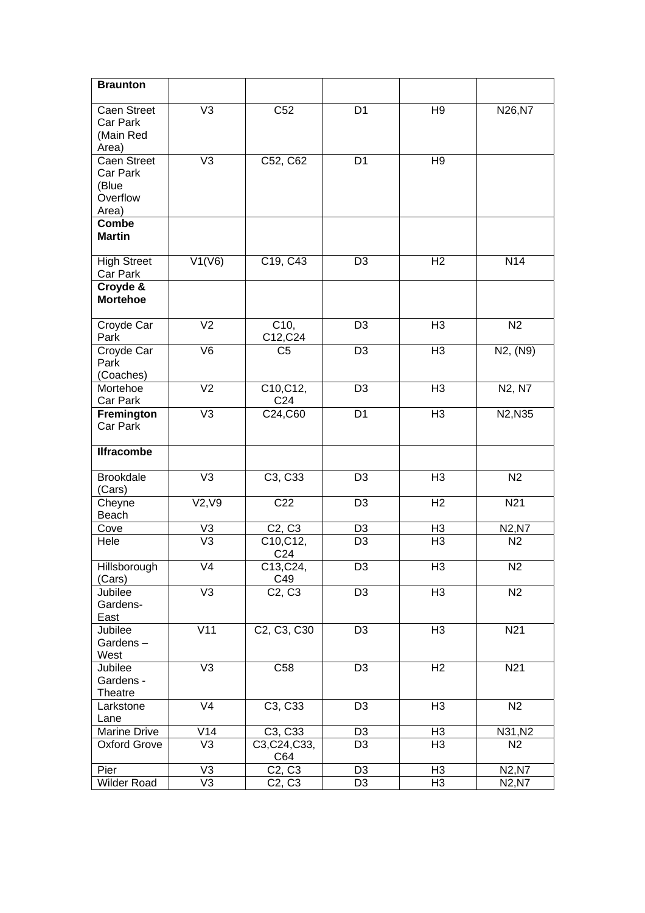| <b>Braunton</b>                                       |                   |                                                   |                 |                |                 |
|-------------------------------------------------------|-------------------|---------------------------------------------------|-----------------|----------------|-----------------|
| <b>Caen Street</b><br>Car Park<br>(Main Red<br>Area)  | V <sub>3</sub>    | C <sub>52</sub>                                   | D <sub>1</sub>  | H <sub>9</sub> | N26, N7         |
| Caen Street<br>Car Park<br>(Blue<br>Overflow<br>Area) | V <sub>3</sub>    | C52, C62                                          | D <sub>1</sub>  | H <sub>9</sub> |                 |
| <b>Combe</b><br><b>Martin</b>                         |                   |                                                   |                 |                |                 |
| <b>High Street</b><br>Car Park                        | V1(V6)            | C19, C43                                          | D <sub>3</sub>  | H <sub>2</sub> | N <sub>14</sub> |
| Croyde &<br><b>Mortehoe</b>                           |                   |                                                   |                 |                |                 |
| Croyde Car<br>Park                                    | V <sub>2</sub>    | C10,<br>C12, C24                                  | D <sub>3</sub>  | H <sub>3</sub> | N2              |
| Croyde Car<br>Park<br>(Coaches)                       | $\overline{\vee}$ | C <sub>5</sub>                                    | D <sub>3</sub>  | H3             | N2, (N9)        |
| Mortehoe<br>Car Park                                  | V <sub>2</sub>    | C10, C12,<br>C <sub>24</sub>                      | D <sub>3</sub>  | H <sub>3</sub> | N2, N7          |
| Fremington<br>Car Park                                | V <sub>3</sub>    | C24,C60                                           | D <sub>1</sub>  | H <sub>3</sub> | N2, N35         |
| <b>Ilfracombe</b>                                     |                   |                                                   |                 |                |                 |
| <b>Brookdale</b><br>(Cars)                            | V <sub>3</sub>    | C3, C33                                           | D <sub>3</sub>  | H3             | N2              |
| Cheyne<br>Beach                                       | V2, V9            | C <sub>22</sub>                                   | D <sub>3</sub>  | H <sub>2</sub> | N21             |
| Cove                                                  | V3                | C <sub>2</sub> , C <sub>3</sub>                   | D <sub>3</sub>  | H <sub>3</sub> | N2, N7          |
| Hele                                                  | $\overline{\vee}$ | C10, C12,<br>C <sub>24</sub>                      | D <sub>3</sub>  | H3             | N2              |
| Hillsborough<br>(Cars)                                | $\overline{\vee}$ | C13,C24,<br>C49                                   | D3              | H3             | N <sub>2</sub>  |
| Jubilee<br>Gardens-<br>East                           | $\overline{\vee}$ | C <sub>2</sub> , C <sub>3</sub>                   | $\overline{D3}$ | H <sub>3</sub> | N <sub>2</sub>  |
| Jubilee<br>Gardens-<br>West                           | V11               | C <sub>2</sub> , C <sub>3</sub> , C <sub>30</sub> | D <sub>3</sub>  | H <sub>3</sub> | N21             |
| Jubilee<br>Gardens -<br>Theatre                       | $\overline{\vee}$ | C58                                               | D <sub>3</sub>  | H <sub>2</sub> | N <sub>21</sub> |
| Larkstone<br>Lane                                     | $\overline{\vee}$ | C <sub>3</sub> , C <sub>33</sub>                  | D <sub>3</sub>  | H3             | N <sub>2</sub>  |
| Marine Drive                                          | $\overline{V}14$  | C3, C33                                           | D <sub>3</sub>  | H <sub>3</sub> | N31, N2         |
| <b>Oxford Grove</b>                                   | $\overline{\vee}$ | C3, C24, C33,<br>C64                              | D <sub>3</sub>  | H <sub>3</sub> | N <sub>2</sub>  |
| Pier                                                  | V3                | C <sub>2</sub> , C <sub>3</sub>                   | D <sub>3</sub>  | H <sub>3</sub> | N2, N7          |
| <b>Wilder Road</b>                                    | V3                | C <sub>2</sub> , C <sub>3</sub>                   | D <sub>3</sub>  | H <sub>3</sub> | N2, N7          |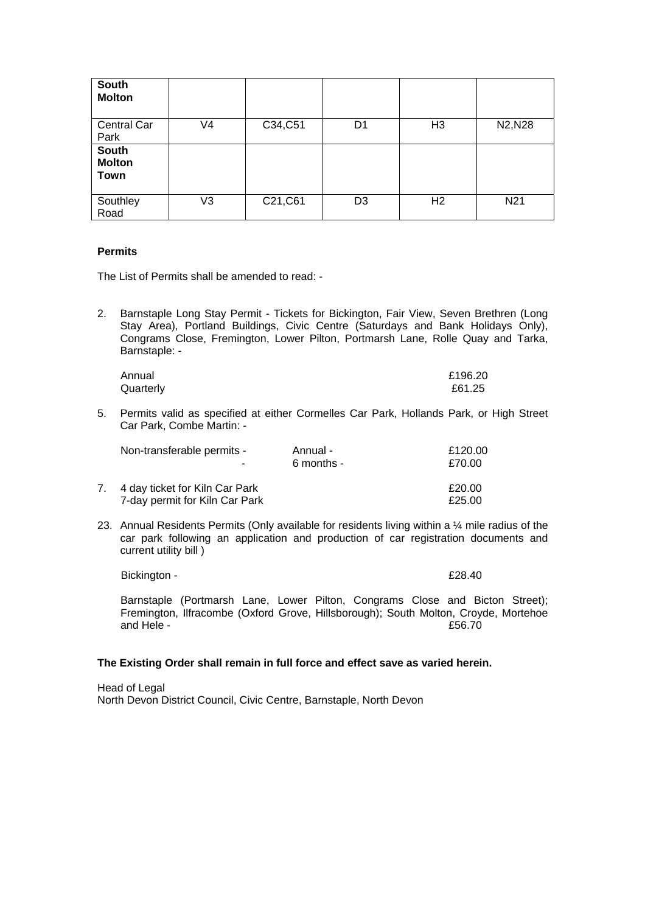| <b>South</b><br><b>Molton</b>         |                |          |                |                |                 |
|---------------------------------------|----------------|----------|----------------|----------------|-----------------|
| <b>Central Car</b><br>Park            | V <sub>4</sub> | C34,C51  | D <sub>1</sub> | H <sub>3</sub> | N2, N28         |
| <b>South</b><br><b>Molton</b><br>Town |                |          |                |                |                 |
| Southley<br>Road                      | V3             | C21, C61 | D <sub>3</sub> | H <sub>2</sub> | N <sub>21</sub> |

#### **Permits**

The List of Permits shall be amended to read: -

2. Barnstaple Long Stay Permit - Tickets for Bickington, Fair View, Seven Brethren (Long Stay Area), Portland Buildings, Civic Centre (Saturdays and Bank Holidays Only), Congrams Close, Fremington, Lower Pilton, Portmarsh Lane, Rolle Quay and Tarka, Barnstaple: -

| Annual    | £196.20 |
|-----------|---------|
| Quarterly | £61.25  |

5. Permits valid as specified at either Cormelles Car Park, Hollands Park, or High Street Car Park, Combe Martin: -

| Non-transferable permits -                                       | Annual -     | £120.00 |
|------------------------------------------------------------------|--------------|---------|
| -                                                                | $6$ months - | £70.00  |
| 4 day ticket for Kiln Car Park<br>7-day permit for Kiln Car Park |              |         |

23. Annual Residents Permits (Only available for residents living within a  $\frac{1}{4}$  mile radius of the car park following an application and production of car registration documents and current utility bill )

Bickington - **E28.40** 

Barnstaple (Portmarsh Lane, Lower Pilton, Congrams Close and Bicton Street); Fremington, Ilfracombe (Oxford Grove, Hillsborough); South Molton, Croyde, Mortehoe and Hele -  $\overline{56.70}$ 

### **The Existing Order shall remain in full force and effect save as varied herein.**

Head of Legal North Devon District Council, Civic Centre, Barnstaple, North Devon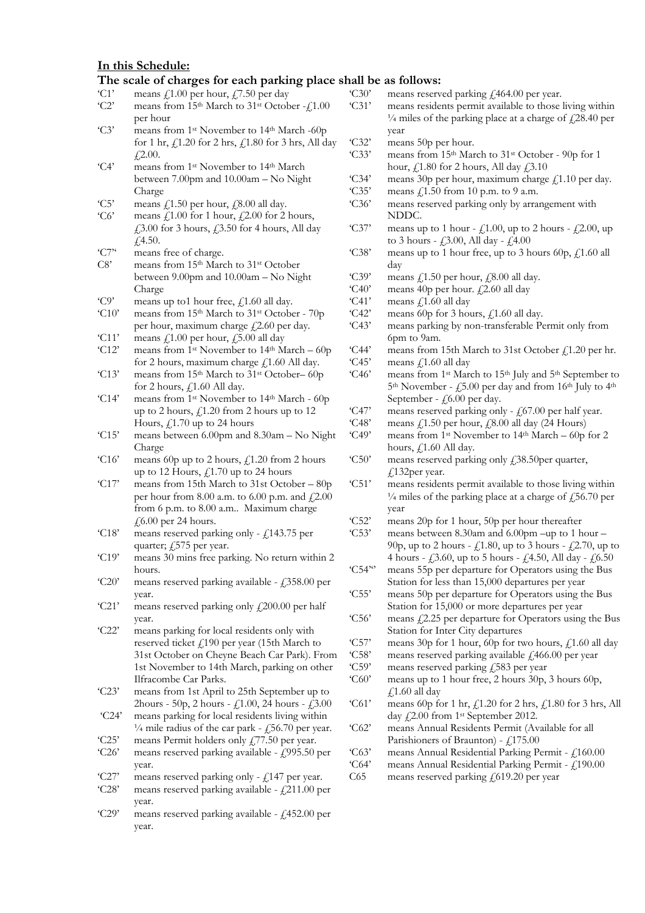#### **In this Schedule:**

#### **The scale of charges for each parking place shall be as follows:**

- $°C1$ 'C2' means  $\ell$ 1.00 per hour,  $\ell$ 7.50 per day means from 15<sup>th</sup> March to 31<sup>st</sup> October -  $f$ 1.00
- $°C3'$ per hour means from 1<sup>st</sup> November to 14<sup>th</sup> March -60p for 1 hr,  $f1.20$  for 2 hrs,  $f1.80$  for 3 hrs, All day  $£2.00.$
- 'C4' means from 1st November to 14th March between 7.00pm and 10.00am – No Night Charge
- $°C5$ means  $f(1.50)$  per hour,  $f(8.00)$  all day.
- $°C6'$ means  $\ell$ , 1.00 for 1 hour,  $\ell$ , 2.00 for 2 hours, £3.00 for 3 hours, £3.50 for 4 hours, All day  $f4.50.$
- $°C7$ <sup>\*</sup> means free of charge.
- C8' means from 15th March to 31st October between 9.00pm and 10.00am – No Night Charge
- 'C9' means up to1 hour free,  $f$ 1.60 all day.
- 'C10' means from 15th March to 31st October - 70p per hour, maximum charge  $\text{\emph{f}}2.60$  per day.
- 'C11' means  $f(1.00)$  per hour,  $f(5.00)$  all day
- 'C12' means from 1<sup>st</sup> November to 14<sup>th</sup> March – 60p for 2 hours, maximum charge  $f$  1.60 All day.
- 'C13' means from 15th March to 31st October– 60p for 2 hours,  $f$ , 1.60 All day.
- 'C14' means from 1st November to 14th March - 60p up to 2 hours,  $f_{1.20}$  from 2 hours up to 12 Hours,  $f(1.70 \text{ up to } 24 \text{ hours})$
- 'C15' means between 6.00pm and 8.30am – No Night Charge
- 'C16' means 60p up to 2 hours,  $f_n$ 1.20 from 2 hours up to 12 Hours,  $f<sub>1</sub>1.70$  up to 24 hours
- 'C17' means from 15th March to 31st October – 80p per hour from 8.00 a.m. to 6.00 p.m. and  $\text{\textsterling}2.00$ from 6 p.m. to 8.00 a.m.. Maximum charge  $£6.00$  per 24 hours.
- 'C18' means reserved parking only -  $\text{\textsterling}143.75$  per quarter;  $f$ , 575 per year.
- 'C19' means 30 mins free parking. No return within 2 hours.
- 'C20' means reserved parking available -  $\text{\textsterling}358.00$  per year.
- 'C21' means reserved parking only  $\text{\textsterling}200.00$  per half year.
- 'C22' means parking for local residents only with reserved ticket  $f_{190}$  per year (15th March to 31st October on Cheyne Beach Car Park). From 1st November to 14th March, parking on other Ilfracombe Car Parks.
- 'C23' means from 1st April to 25th September up to 2hours - 50p, 2 hours -  $\text{\textsterling}1.00$ , 24 hours -  $\text{\textsterling}3.00$
- 'C24' means parking for local residents living within  $\frac{1}{4}$  mile radius of the car park - £56.70 per year.
- 'C25' means Permit holders only £77.50 per year.
- 'C26' means reserved parking available - £995.50 per year.
- 'C27' means reserved parking only -  $f$ , 147 per year.
- 'C28' means reserved parking available -  $f$ , 211.00 per year.
- 'C29' means reserved parking available -  $f$ ,452.00 per year.
- 'C30' 'C31' 'C32' 'C33' 'C34' 'C35' 'C36' 'C37' 'C38' 'C39' 'C40' 'C41' 'C42' 'C43' 'C44' 'C45' 'C46' 'C47' 'C48' 'C49' 'C50' 'C51' 'C52' 'C53'  $°C54"$ 'C55' 'C56' 'C57' 'C58' 'C59' 'C60' 'C61' 'C62' means reserved parking £464.00 per year. means residents permit available to those living within  $\frac{1}{4}$  miles of the parking place at a charge of  $\frac{1}{28.40}$  per year means 50p per hour. means from 15th March to 31st October - 90p for 1 hour,  $f$ , 1.80 for 2 hours, All day  $f$ , 3.10 means 30p per hour, maximum charge  $\text{\emph{f}}1.10$  per day. means  $\text{\emph{f}}$ , 1.50 from 10 p.m. to 9 a.m. means reserved parking only by arrangement with NDDC. means up to 1 hour -  $\text{\textsterling}1.00$ , up to 2 hours -  $\text{\textsterling}2.00$ , up to 3 hours -  $f3.00$ , All day -  $f4.00$ means up to 1 hour free, up to 3 hours 60p,  $\text{\textsterling}1.60$  all day means  $f(1.50)$  per hour,  $f(8.00)$  all day. means 40p per hour. £2.60 all day means £1.60 all day means 60p for 3 hours,  $\text{\textsterling}1.60$  all day. means parking by non-transferable Permit only from 6pm to 9am. means from 15th March to 31st October  $f<sub>1</sub>1.20$  per hr. means £1.60 all day  $5<sup>th</sup> November - f,5.00 per day and from 16<sup>th</sup> July to 4<sup>th</sup>$ September -  $f_{0.00}$  per day. means reserved parking only -  $f<sub>1</sub>67.00$  per half year. means £1.50 per hour, £8.00 all day (24 Hours) means from 1st November to 14th March – 60p for 2 hours,  $f$ , 1.60 All day. means reserved parking only £38.50per quarter, £132per year. means residents permit available to those living within  $\frac{1}{4}$  miles of the parking place at a charge of £56.70 per year means 20p for 1 hour, 50p per hour thereafter means between 8.30am and 6.00pm –up to 1 hour – 4 hours - £3.60, up to 5 hours - £4.50, All day - £6.50 means 55p per departure for Operators using the Bus Station for less than 15,000 departures per year means 50p per departure for Operators using the Bus Station for 15,000 or more departures per year Station for Inter City departures means 30p for 1 hour, 60p for two hours, £1.60 all day means reserved parking available £466.00 per year means reserved parking £583 per year means up to 1 hour free, 2 hours 30p, 3 hours 60p,  $£1.60$  all day means 60p for 1 hr,  $\text{\textsterling}1.20$  for 2 hrs,  $\text{\textsterling}1.80$  for 3 hrs, All day £2.00 from 1<sup>st</sup> September 2012. means Annual Residents Permit (Available for all
	- 'C63' means Annual Residential Parking Permit - £160.00
	- 'C64' means Annual Residential Parking Permit - £190.00
	- C65 means reserved parking  $f(619.20)$  per year

means from 1st March to 15th July and 5th September to

- 90p, up to 2 hours  $\text{\textsterling}1.80$ , up to 3 hours  $\text{\textsterling}2.70$ , up to
- means  $\text{\textsterling}2.25$  per departure for Operators using the Bus
- 
- Parishioners of Braunton)  $\text{\textsterling},175.00$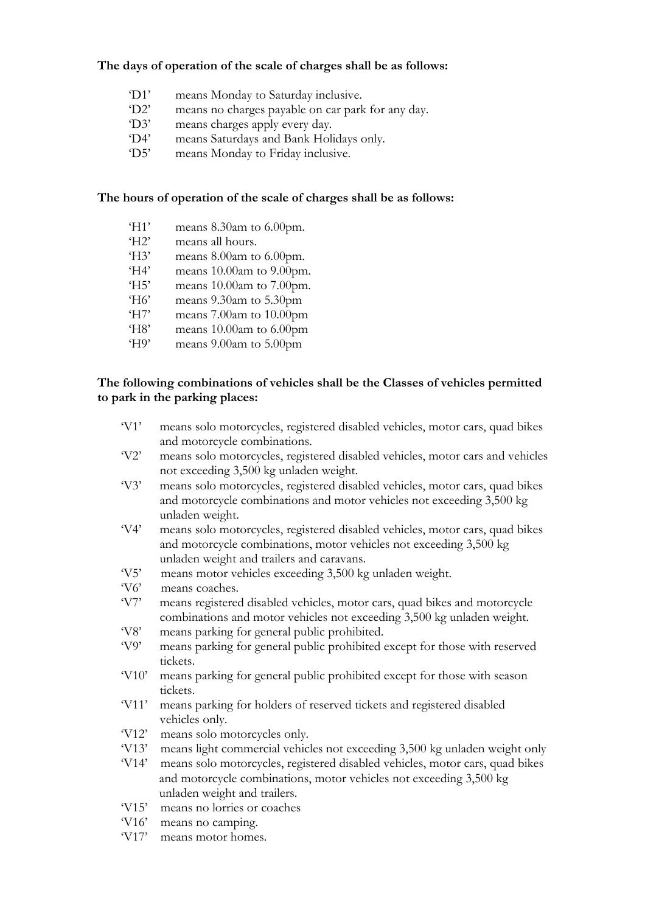### **The days of operation of the scale of charges shall be as follows:**

- 'D1' means Monday to Saturday inclusive.
- 'D2' means no charges payable on car park for any day.
- 'D3' means charges apply every day.
- 'D4' means Saturdays and Bank Holidays only.
- 'D5' means Monday to Friday inclusive.

### **The hours of operation of the scale of charges shall be as follows:**

- 'H1' means 8.30am to 6.00pm.
- 'H2' means all hours.
- 'H3' means 8.00am to 6.00pm.
- 'H4' means 10.00am to 9.00pm.
- 'H5' means 10.00am to 7.00pm.
- 'H6' means 9.30am to 5.30pm
- 'H7' means 7.00am to 10.00pm
- 'H8' means 10.00am to 6.00pm
- 'H9' means 9.00am to 5.00pm

### **The following combinations of vehicles shall be the Classes of vehicles permitted to park in the parking places:**

- 'V1' means solo motorcycles, registered disabled vehicles, motor cars, quad bikes and motorcycle combinations.
- 'V2' means solo motorcycles, registered disabled vehicles, motor cars and vehicles not exceeding 3,500 kg unladen weight.
- 'V3' means solo motorcycles, registered disabled vehicles, motor cars, quad bikes and motorcycle combinations and motor vehicles not exceeding 3,500 kg unladen weight.
- 'V4' means solo motorcycles, registered disabled vehicles, motor cars, quad bikes and motorcycle combinations, motor vehicles not exceeding 3,500 kg unladen weight and trailers and caravans.
- 'V5' means motor vehicles exceeding 3,500 kg unladen weight.
- 'V6' means coaches.
- 'V7' means registered disabled vehicles, motor cars, quad bikes and motorcycle combinations and motor vehicles not exceeding 3,500 kg unladen weight.
- 'V8' means parking for general public prohibited.
- 'V9' means parking for general public prohibited except for those with reserved tickets.
- 'V10' means parking for general public prohibited except for those with season tickets.
- 'V11' means parking for holders of reserved tickets and registered disabled vehicles only.
- 'V12' means solo motorcycles only.
- 'V13' means light commercial vehicles not exceeding 3,500 kg unladen weight only
- 'V14' means solo motorcycles, registered disabled vehicles, motor cars, quad bikes and motorcycle combinations, motor vehicles not exceeding 3,500 kg unladen weight and trailers.
- 'V15' means no lorries or coaches
- 'V16' means no camping.
- 'V17' means motor homes.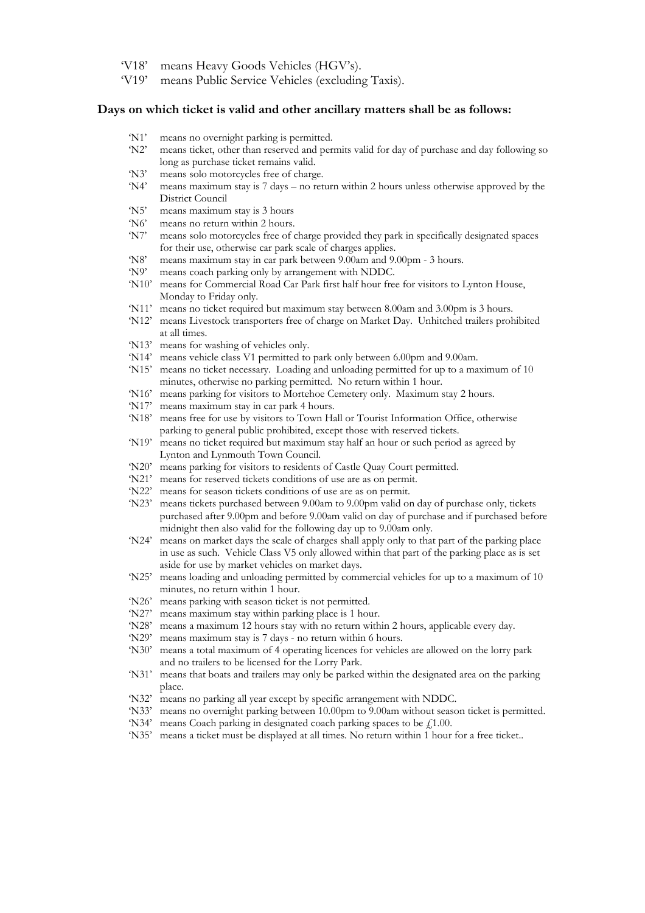- 'V18' means Heavy Goods Vehicles (HGV's).
- 'V19' means Public Service Vehicles (excluding Taxis).

#### **Days on which ticket is valid and other ancillary matters shall be as follows:**

- 'N1' means no overnight parking is permitted.
- 'N2' means ticket, other than reserved and permits valid for day of purchase and day following so long as purchase ticket remains valid.
- 'N3' means solo motorcycles free of charge.
- 'N4' means maximum stay is 7 days no return within 2 hours unless otherwise approved by the District Council
- 'N5' means maximum stay is 3 hours
- 'N6' means no return within 2 hours.
- 'N7' means solo motorcycles free of charge provided they park in specifically designated spaces for their use, otherwise car park scale of charges applies.
- 'N8' means maximum stay in car park between 9.00am and 9.00pm 3 hours.
- 'N9' means coach parking only by arrangement with NDDC.
- 'N10' means for Commercial Road Car Park first half hour free for visitors to Lynton House, Monday to Friday only.
- 'N11' means no ticket required but maximum stay between 8.00am and 3.00pm is 3 hours.
- 'N12' means Livestock transporters free of charge on Market Day. Unhitched trailers prohibited at all times.
- 'N13' means for washing of vehicles only.
- 'N14' means vehicle class V1 permitted to park only between 6.00pm and 9.00am.
- 'N15' means no ticket necessary. Loading and unloading permitted for up to a maximum of 10 minutes, otherwise no parking permitted. No return within 1 hour.
- 'N16' means parking for visitors to Mortehoe Cemetery only. Maximum stay 2 hours.
- 'N17' means maximum stay in car park 4 hours.
- 'N18' means free for use by visitors to Town Hall or Tourist Information Office, otherwise parking to general public prohibited, except those with reserved tickets.
- 'N19' means no ticket required but maximum stay half an hour or such period as agreed by Lynton and Lynmouth Town Council.
- 'N20' means parking for visitors to residents of Castle Quay Court permitted.
- 'N21' means for reserved tickets conditions of use are as on permit.
- 'N22' means for season tickets conditions of use are as on permit.
- 'N23' means tickets purchased between 9.00am to 9.00pm valid on day of purchase only, tickets purchased after 9.00pm and before 9.00am valid on day of purchase and if purchased before midnight then also valid for the following day up to 9.00am only.
- 'N24' means on market days the scale of charges shall apply only to that part of the parking place in use as such. Vehicle Class V5 only allowed within that part of the parking place as is set aside for use by market vehicles on market days.
- 'N25' means loading and unloading permitted by commercial vehicles for up to a maximum of 10 minutes, no return within 1 hour.
- 'N26' means parking with season ticket is not permitted.
- 'N27' means maximum stay within parking place is 1 hour.
- 'N28' means a maximum 12 hours stay with no return within 2 hours, applicable every day.
- 'N29' means maximum stay is 7 days no return within 6 hours.
- 'N30' means a total maximum of 4 operating licences for vehicles are allowed on the lorry park and no trailers to be licensed for the Lorry Park.
- 'N31' means that boats and trailers may only be parked within the designated area on the parking place.
- 'N32' means no parking all year except by specific arrangement with NDDC.
- 'N33' means no overnight parking between 10.00pm to 9.00am without season ticket is permitted.
- 'N34' means Coach parking in designated coach parking spaces to be  $£1.00$ .
- 'N35' means a ticket must be displayed at all times. No return within 1 hour for a free ticket..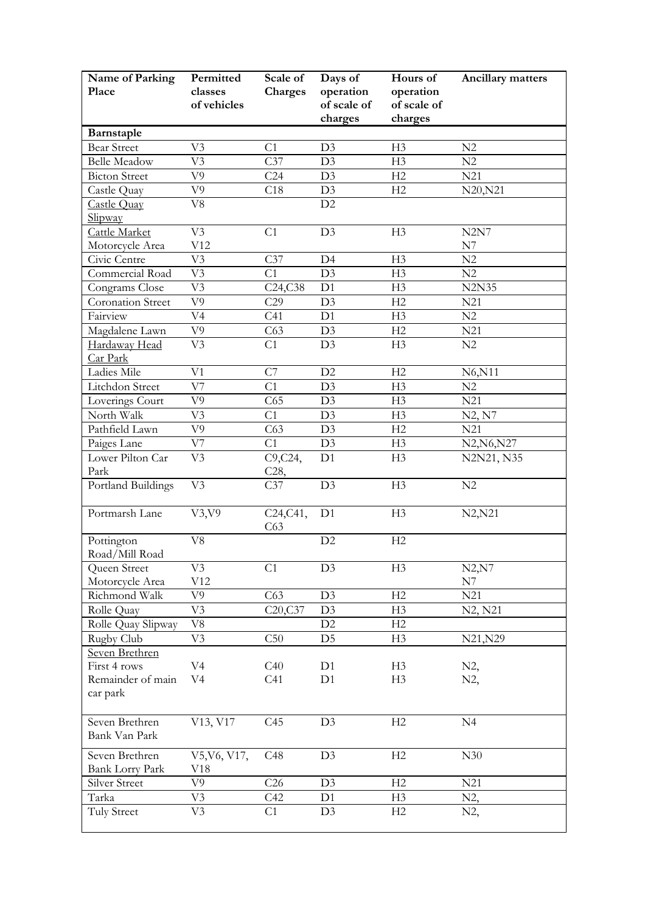| Name of Parking<br>Place                 | Permitted<br>classes<br>of vehicles | Scale of<br>Charges         | Days of<br>operation<br>of scale of<br>charges | Hours of<br>operation<br>of scale of<br>charges | <b>Ancillary matters</b> |
|------------------------------------------|-------------------------------------|-----------------------------|------------------------------------------------|-------------------------------------------------|--------------------------|
| Barnstaple                               |                                     |                             |                                                |                                                 |                          |
| <b>Bear Street</b>                       | V <sub>3</sub>                      | C1                          | D3                                             | H3                                              | N2                       |
| <b>Belle Meadow</b>                      | V <sub>3</sub>                      | C37                         | D <sub>3</sub>                                 | H3                                              | N2                       |
| <b>Bicton Street</b>                     | V9                                  | C <sub>24</sub>             | D <sub>3</sub>                                 | H2                                              | N <sub>21</sub>          |
| Castle Quay                              | V9                                  | C18                         | D3                                             | H2                                              | N20, N21                 |
| Castle Quay                              | V8                                  |                             | D2                                             |                                                 |                          |
| Slipway                                  |                                     |                             |                                                |                                                 |                          |
| Cattle Market                            | V <sub>3</sub>                      | C1                          | D3                                             | H <sub>3</sub>                                  | N2N7                     |
| Motorcycle Area                          | V12                                 |                             |                                                |                                                 | N7                       |
| Civic Centre                             | V3                                  | C37                         | D4                                             | H3                                              | N2                       |
| Commercial Road                          | V <sub>3</sub>                      | C1                          | D3                                             | H <sub>3</sub>                                  | N2                       |
| Congrams Close                           | V <sub>3</sub>                      | C24, C38                    | D1                                             | H3                                              | <b>N2N35</b>             |
| Coronation Street                        | V9                                  | C29                         | D <sub>3</sub>                                 | H2                                              | N21                      |
| Fairview                                 | V <sub>4</sub>                      | C <sub>41</sub>             | D1                                             | H3                                              | N2                       |
| Magdalene Lawn                           | V9                                  | C63                         | D <sub>3</sub>                                 | H2                                              | N21                      |
| Hardaway Head<br>Car Park                | V <sub>3</sub>                      | C1                          | D3                                             | H <sub>3</sub>                                  | N2                       |
| Ladies Mile                              | V1                                  | C7                          | D2                                             | H2                                              | N6, N11                  |
| Litchdon Street                          | V7                                  | C1                          | D3                                             | H3                                              | N2                       |
| Loverings Court                          | V9                                  | C65                         | D3                                             | H3                                              | N21                      |
| North Walk                               | V3                                  | C1                          | D3                                             | H3                                              | N2, N7                   |
| Pathfield Lawn                           | V9                                  | C63                         | D3                                             | H2                                              | N21                      |
| Paiges Lane                              | V7                                  | C1                          | D <sub>3</sub>                                 | H <sub>3</sub>                                  | N2, N6, N27              |
| Lower Pilton Car<br>Park                 | V <sub>3</sub>                      | C9, C24,<br>C <sub>28</sub> | D1                                             | H3                                              | N2N21, N35               |
| Portland Buildings                       | V <sub>3</sub>                      | C37                         | D <sub>3</sub>                                 | H <sub>3</sub>                                  | $\rm N2$                 |
| Portmarsh Lane                           | V3, V9                              | C24, C41,<br>C63            | D1                                             | H <sub>3</sub>                                  | N2, N21                  |
| Pottington<br>Road/Mill Road             | V8                                  |                             | D2                                             | H2                                              |                          |
| Queen Street                             | V <sub>3</sub>                      | C1                          | D3                                             | H <sub>3</sub>                                  | N2, N7                   |
| Motorcycle Area                          | V12                                 |                             |                                                |                                                 | N7                       |
| Richmond Walk                            | V9                                  | C63                         | D <sub>3</sub>                                 | H2                                              | N21                      |
| Rolle Quay                               | V3                                  | C20, C37                    | D3                                             | H3                                              | N2, N21                  |
| Rolle Quay Slipway                       | V8                                  |                             | D2                                             | H2                                              |                          |
| Rugby Club                               | V3                                  | C50                         | D <sub>5</sub>                                 | H <sub>3</sub>                                  | N21, N29                 |
| Seven Brethren                           |                                     |                             |                                                |                                                 |                          |
| First 4 rows                             | V <sub>4</sub>                      | C40                         | D1                                             | H <sub>3</sub>                                  | $N2$ ,                   |
| Remainder of main<br>car park            | V <sub>4</sub>                      | C <sub>41</sub>             | D1                                             | H <sub>3</sub>                                  | N2,                      |
| Seven Brethren<br>Bank Van Park          | V13, V17                            | C45                         | D <sub>3</sub>                                 | H2                                              | N <sub>4</sub>           |
| Seven Brethren<br><b>Bank Lorry Park</b> | V5, V6, V17,<br>V18                 | C48                         | D3                                             | H2                                              | N30                      |
| Silver Street                            | V9                                  | C <sub>26</sub>             | D3                                             | H2                                              | N21                      |
| Tarka                                    | V3                                  | C42                         | D1                                             | H3                                              | N2,                      |
| Tuly Street                              | V <sub>3</sub>                      | C1                          | D <sub>3</sub>                                 | H <sub>2</sub>                                  | N2,                      |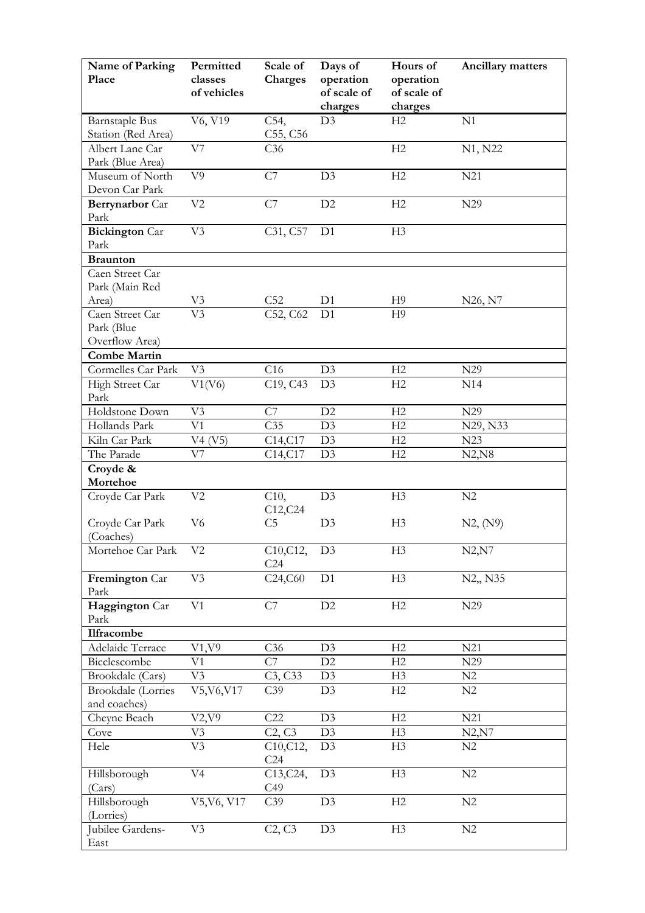| Name of Parking<br>Place            | Permitted<br>classes<br>of vehicles | Scale of<br>Charges               | Days of<br>operation<br>of scale of | Hours of<br>operation<br>of scale of | <b>Ancillary matters</b> |
|-------------------------------------|-------------------------------------|-----------------------------------|-------------------------------------|--------------------------------------|--------------------------|
|                                     |                                     |                                   | charges                             | charges                              |                          |
| <b>Barnstaple Bus</b>               | V6, V19                             | C54,                              | D3                                  | H2                                   | N1                       |
| Station (Red Area)                  |                                     | C55, C56                          |                                     |                                      |                          |
| Albert Lane Car                     | V7                                  | C36                               |                                     | H <sub>2</sub>                       | N1, N22                  |
| Park (Blue Area)<br>Museum of North | V <sub>9</sub>                      |                                   | D <sub>3</sub>                      | H <sub>2</sub>                       | N21                      |
| Devon Car Park                      |                                     | C7                                |                                     |                                      |                          |
| Berrynarbor Car                     | V <sub>2</sub>                      | C7                                | D2                                  | H <sub>2</sub>                       | N29                      |
| Park                                |                                     |                                   |                                     |                                      |                          |
| <b>Bickington</b> Car               | V <sub>3</sub>                      | C31, C57                          | D <sub>1</sub>                      | H <sub>3</sub>                       |                          |
| Park                                |                                     |                                   |                                     |                                      |                          |
| <b>Braunton</b>                     |                                     |                                   |                                     |                                      |                          |
| Caen Street Car                     |                                     |                                   |                                     |                                      |                          |
| Park (Main Red                      |                                     |                                   |                                     |                                      |                          |
| Area)                               | V3                                  | C <sub>52</sub>                   | D <sub>1</sub>                      | H <sub>9</sub>                       | N26, N7                  |
| Caen Street Car                     | $\overline{\rm V3}$                 | C52, C62                          | D <sub>1</sub>                      | H <sub>9</sub>                       |                          |
| Park (Blue                          |                                     |                                   |                                     |                                      |                          |
| Overflow Area)                      |                                     |                                   |                                     |                                      |                          |
| <b>Combe Martin</b>                 |                                     |                                   |                                     |                                      |                          |
| Cormelles Car Park                  | V <sub>3</sub>                      | C16                               | D3                                  | H2                                   | N <sub>29</sub>          |
| High Street Car                     | V1(V6)                              | C <sub>19</sub> , C <sub>43</sub> | D <sub>3</sub>                      | H2                                   | N14                      |
| Park                                |                                     |                                   |                                     |                                      |                          |
| Holdstone Down                      | V <sub>3</sub>                      | C7                                | D2                                  | H2                                   | N29                      |
| Hollands Park                       | V1                                  | C35                               | D3                                  | H2                                   | N29, N33                 |
| Kiln Car Park                       | V4 (V5)                             | C14, C17                          | D <sub>3</sub>                      | H2                                   | N23                      |
| The Parade                          | V7                                  | C14,C17                           | D3                                  | H2                                   | N2, N8                   |
| Croyde &                            |                                     |                                   |                                     |                                      |                          |
| Mortehoe                            |                                     |                                   |                                     |                                      |                          |
| Croyde Car Park                     | V <sub>2</sub>                      | C10,<br>C12, C24                  | D <sub>3</sub>                      | H <sub>3</sub>                       | N2                       |
| Croyde Car Park                     | V <sub>6</sub>                      | C <sub>5</sub>                    | D <sub>3</sub>                      | H <sub>3</sub>                       | N2, (N9)                 |
| (Coaches)                           |                                     |                                   |                                     |                                      |                          |
| Mortehoe Car Park                   | V <sub>2</sub>                      | C10, C12,<br>C <sub>24</sub>      | D <sub>3</sub>                      | H <sub>3</sub>                       | N2, N7                   |
| Fremington Car                      | V <sub>3</sub>                      | C24,C60                           | D1                                  | H <sub>3</sub>                       | N2,, N35                 |
| Park                                |                                     |                                   |                                     |                                      |                          |
| Haggington Car<br>Park              | V1                                  | C7                                | D2                                  | H2                                   | N29                      |
| Ilfracombe                          |                                     |                                   |                                     |                                      |                          |
| Adelaide Terrace                    | V1, V9                              | C <sub>36</sub>                   | D <sub>3</sub>                      | H2                                   | N21                      |
| Bicclescombe                        | $_{\rm V1}$                         | $\overline{C7}$                   | D2                                  | H2                                   | N29                      |
| Brookdale (Cars)                    | V <sub>3</sub>                      | C3, C33                           | D <sub>3</sub>                      | H <sub>3</sub>                       | N <sub>2</sub>           |
| Brookdale (Lorries                  | V5, V6, V17                         | C39                               | D3                                  | H2                                   | N2                       |
| and coaches)                        |                                     |                                   |                                     |                                      |                          |
| Cheyne Beach                        | V2, V9                              | C22                               | D3                                  | H2                                   | N21                      |
| Cove                                | V3                                  | C2, C3                            | D3                                  | H <sub>3</sub>                       | N2, N7                   |
| Hele                                | V <sub>3</sub>                      | C10, C12,<br>C <sub>24</sub>      | D <sub>3</sub>                      | H <sub>3</sub>                       | N2                       |
| Hillsborough                        | V <sub>4</sub>                      | C13, C24,                         | D3                                  | H3                                   | N2                       |
| (Cars)                              |                                     | C49                               |                                     |                                      |                          |
| Hillsborough                        | V5, V6, V17                         | C39                               | D3                                  | H2                                   | N2                       |
| (Lorries)                           |                                     |                                   |                                     |                                      |                          |
| Jubilee Gardens-<br>East            | V3                                  | C2, C3                            | D <sub>3</sub>                      | H <sub>3</sub>                       | N2                       |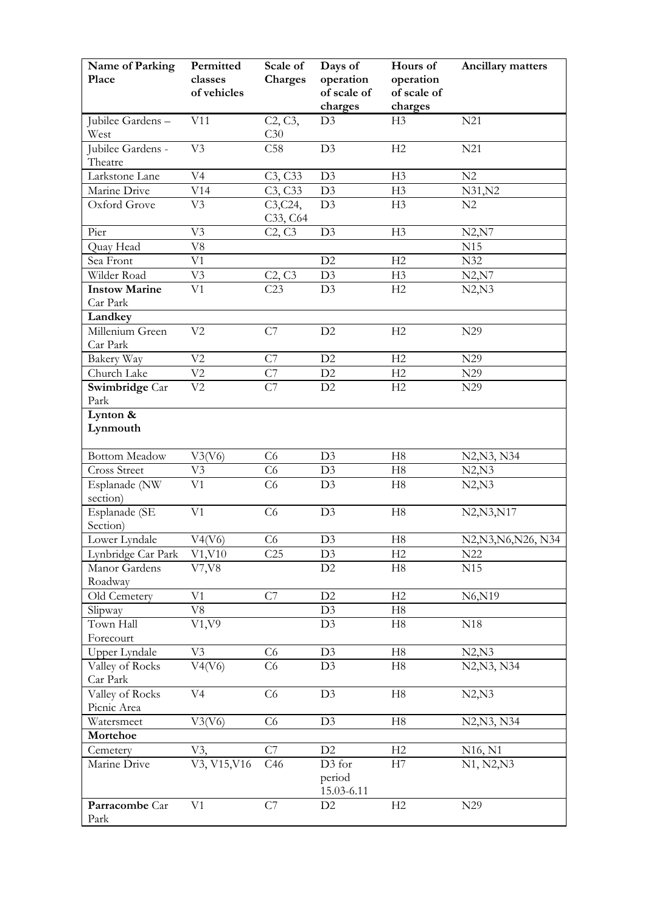| Name of Parking<br>Place         | Permitted<br>classes<br>of vehicles | Scale of<br>Charges                           | Days of<br>operation<br>of scale of<br>charges | Hours of<br>operation<br>of scale of<br>charges | <b>Ancillary matters</b>         |
|----------------------------------|-------------------------------------|-----------------------------------------------|------------------------------------------------|-------------------------------------------------|----------------------------------|
| Jubilee Gardens-<br>West         | V11                                 | C2, C3,<br>C30                                | D3                                             | H <sub>3</sub>                                  | N21                              |
| Jubilee Gardens -<br>Theatre     | V <sub>3</sub>                      | C58                                           | D <sub>3</sub>                                 | H <sub>2</sub>                                  | N21                              |
| Larkstone Lane                   | V <sub>4</sub>                      | C3, C33                                       | D <sub>3</sub>                                 | H <sub>3</sub>                                  | N <sub>2</sub>                   |
| Marine Drive                     | V14                                 | C3, C33                                       | D <sub>3</sub>                                 | H <sub>3</sub>                                  | N31, N2                          |
| Oxford Grove                     | V <sub>3</sub>                      | C3, C24,<br>C <sub>3</sub> 3, C <sub>64</sub> | D3                                             | H <sub>3</sub>                                  | N2                               |
| Pier                             | V <sub>3</sub>                      | C <sub>2</sub> , C <sub>3</sub>               | D <sub>3</sub>                                 | H <sub>3</sub>                                  | N2, N7                           |
| Quay Head                        | V8                                  |                                               |                                                |                                                 | N15                              |
| Sea Front                        | V1                                  |                                               | D2                                             | H2                                              | N32                              |
| Wilder Road                      | V <sub>3</sub>                      | C2, C3                                        | D <sub>3</sub>                                 | H <sub>3</sub>                                  | N2, N7                           |
| <b>Instow Marine</b><br>Car Park | V <sub>1</sub>                      | C23                                           | D3                                             | H2                                              | N2,N3                            |
| Landkey                          |                                     |                                               |                                                |                                                 |                                  |
| Millenium Green<br>Car Park      | V <sub>2</sub>                      | C7                                            | D2                                             | H <sub>2</sub>                                  | N29                              |
| Bakery Way                       | V <sub>2</sub>                      | C7                                            | D2                                             | H <sub>2</sub>                                  | N29                              |
| Church Lake                      | V <sub>2</sub>                      | C7                                            | D2                                             | H2                                              | N29                              |
| Swimbridge Car<br>Park           | V <sub>2</sub>                      | C7                                            | D <sub>2</sub>                                 | H <sub>2</sub>                                  | N29                              |
| Lynton $\&$<br>Lynmouth          |                                     |                                               |                                                |                                                 |                                  |
| <b>Bottom Meadow</b>             | V3(V6)                              | C <sub>6</sub>                                | D3                                             | H8                                              | N2, N3, N34                      |
| <b>Cross Street</b>              | V3                                  | C <sub>6</sub>                                | D <sub>3</sub>                                 | H8                                              | N2,N3                            |
| Esplanade (NW<br>section)        | V1                                  | C6                                            | D3                                             | H8                                              | N2,N3                            |
| Esplanade (SE<br>Section)        | V <sub>1</sub>                      | C6                                            | D <sub>3</sub>                                 | H8                                              | N2, N3, N17                      |
| Lower Lyndale                    | V4(V6)                              | C6                                            | D3                                             | H8                                              | N2, N3, N6, N26, N34             |
| Lynbridge Car Park               | V1, V10                             | C <sub>25</sub>                               | D <sub>3</sub>                                 | H <sub>2</sub>                                  | N22                              |
| Manor Gardens<br>Roadway         | V7, V8                              |                                               | D2                                             | H8                                              | N15                              |
| Old Cemetery                     | V <sub>1</sub>                      | C7                                            | D2                                             | H2                                              | N6,N19                           |
| Slipway                          | V8                                  |                                               | D3                                             | H8                                              |                                  |
| Town Hall<br>Forecourt           | V1, V9                              |                                               | D3                                             | H8                                              | N18                              |
| Upper Lyndale                    | V <sub>3</sub>                      | C6                                            | D <sub>3</sub>                                 | H8                                              | N2,N3                            |
| Valley of Rocks<br>Car Park      | V4(V6)                              | C6                                            | D3                                             | H8                                              | N2, N3, N34                      |
| Valley of Rocks<br>Picnic Area   | V <sub>4</sub>                      | C6                                            | D <sub>3</sub>                                 | H8                                              | N2,N3                            |
| Watersmeet                       | V3(V6)                              | C <sub>6</sub>                                | D <sub>3</sub>                                 | H8                                              | N2, N3, N34                      |
| Mortehoe                         |                                     |                                               |                                                |                                                 |                                  |
| Cemetery                         | V3,                                 | C7                                            | D2                                             | H2                                              | N <sub>16</sub> , N <sub>1</sub> |
| Marine Drive                     | V3, V15, V16                        | C46                                           | D <sub>3</sub> for<br>period<br>15.03-6.11     | H7                                              | N1, N2, N3                       |
| Parracombe Car<br>Park           | V <sub>1</sub>                      | C7                                            | D <sub>2</sub>                                 | H2                                              | N29                              |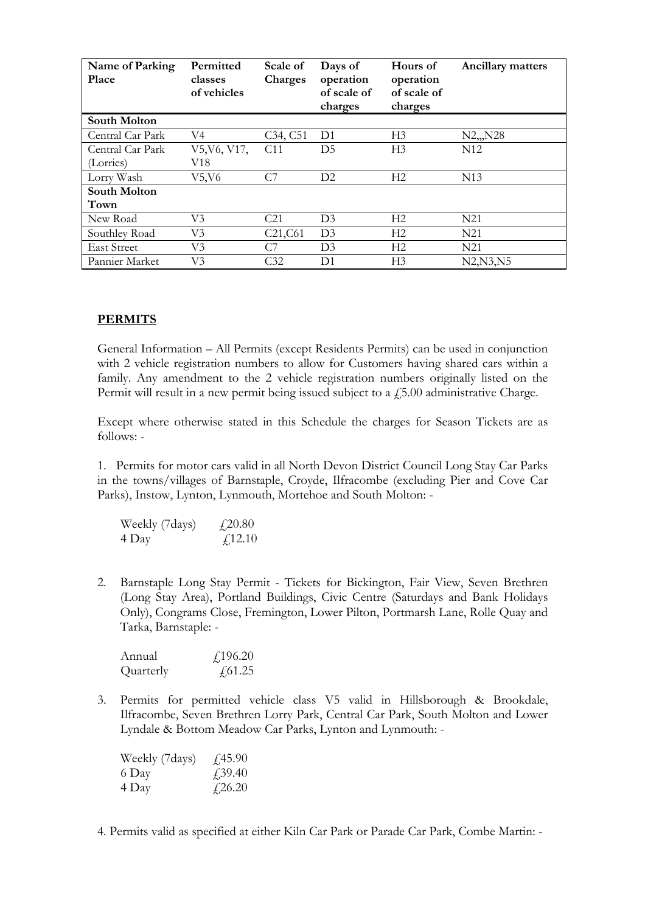| Name of Parking<br><b>Place</b> | Permitted<br>classes<br>of vehicles | Scale of<br><b>Charges</b>        | Days of<br>operation<br>of scale of<br>charges | Hours of<br>operation<br>of scale of<br>charges | Ancillary matters |
|---------------------------------|-------------------------------------|-----------------------------------|------------------------------------------------|-------------------------------------------------|-------------------|
| <b>South Molton</b>             |                                     |                                   |                                                |                                                 |                   |
| Central Car Park                | V4                                  | C <sub>34</sub> , C <sub>51</sub> | D <sub>1</sub>                                 | H <sub>3</sub>                                  | $N2_{n}N28$       |
| Central Car Park                | V5, V6, V17,                        | C <sub>11</sub>                   | D <sub>5</sub>                                 | H <sub>3</sub>                                  | N <sub>12</sub>   |
| (Lorries)                       | V18                                 |                                   |                                                |                                                 |                   |
| Lorry Wash                      | V5,V6                               | C7                                | D2                                             | H <sub>2</sub>                                  | N <sub>13</sub>   |
| <b>South Molton</b>             |                                     |                                   |                                                |                                                 |                   |
| Town                            |                                     |                                   |                                                |                                                 |                   |
| New Road                        | V3                                  | C <sub>21</sub>                   | D <sub>3</sub>                                 | H <sub>2</sub>                                  | N21               |
| Southley Road                   | V3                                  | C21, C61                          | D <sub>3</sub>                                 | H <sub>2</sub>                                  | N21               |
| <b>East Street</b>              | V3                                  | C7                                | D <sub>3</sub>                                 | H <sub>2</sub>                                  | N21               |
| Pannier Market                  | V3                                  | C32                               | D <sub>1</sub>                                 | H <sub>3</sub>                                  | N2, N3, N5        |

## **PERMITS**

General Information – All Permits (except Residents Permits) can be used in conjunction with 2 vehicle registration numbers to allow for Customers having shared cars within a family. Any amendment to the 2 vehicle registration numbers originally listed on the Permit will result in a new permit being issued subject to a  $\text{\emph{f}}5.00$  administrative Charge.

Except where otherwise stated in this Schedule the charges for Season Tickets are as follows: -

1. Permits for motor cars valid in all North Devon District Council Long Stay Car Parks in the towns/villages of Barnstaple, Croyde, Ilfracombe (excluding Pier and Cove Car Parks), Instow, Lynton, Lynmouth, Mortehoe and South Molton: -

| Weekly (7days) | £20.80   |
|----------------|----------|
| 4 Day          | f(12.10) |

2. Barnstaple Long Stay Permit - Tickets for Bickington, Fair View, Seven Brethren (Long Stay Area), Portland Buildings, Civic Centre (Saturdays and Bank Holidays Only), Congrams Close, Fremington, Lower Pilton, Portmarsh Lane, Rolle Quay and Tarka, Barnstaple: -

| Annual    | f,196.20       |
|-----------|----------------|
| Quarterly | $\sqrt{61.25}$ |

3. Permits for permitted vehicle class V5 valid in Hillsborough & Brookdale, Ilfracombe, Seven Brethren Lorry Park, Central Car Park, South Molton and Lower Lyndale & Bottom Meadow Car Parks, Lynton and Lynmouth: -

| Weekly (7days) | $\sqrt{45.90}$ |
|----------------|----------------|
| 6 Day          | $\angle 39.40$ |
| 4 Day          | $\sqrt{26.20}$ |

4. Permits valid as specified at either Kiln Car Park or Parade Car Park, Combe Martin: -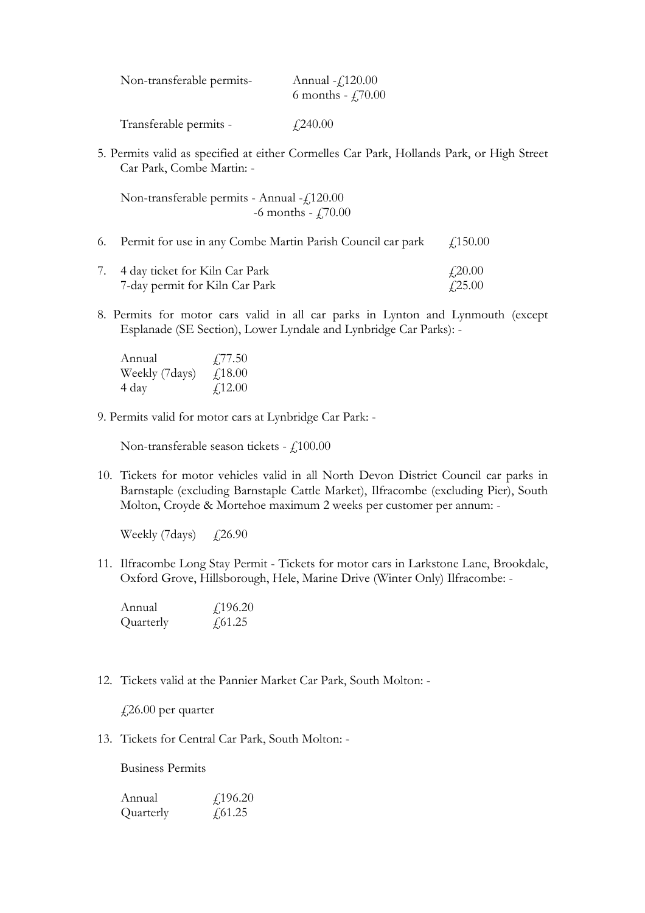| Non-transferable permits- | Annual $-f120.00$<br>6 months - $\frac{1}{2}$ , 70.00 |
|---------------------------|-------------------------------------------------------|
| Transferable permits -    | $\angle 240.00$                                       |

5. Permits valid as specified at either Cormelles Car Park, Hollands Park, or High Street Car Park, Combe Martin: -

Non-transferable permits - Annual - £120.00 -6 months -  $\text{\textsterling}70.00$ 

- 6. Permit for use in any Combe Martin Parish Council car park  $\qquad$  £150.00
- 7. 4 day ticket for Kiln Car Park  $\frac{20.00}{20.00}$ 7-day permit for Kiln Car Park  $\qquad$   $\qquad$   $\qquad$   $\qquad$   $\qquad$   $\qquad$   $\qquad$   $\qquad$   $\qquad$   $\qquad$   $\qquad$  7.25.00
- 8. Permits for motor cars valid in all car parks in Lynton and Lynmouth (except Esplanade (SE Section), Lower Lyndale and Lynbridge Car Parks): -

| Annual         | $\sqrt{77.50}$ |
|----------------|----------------|
| Weekly (7days) | $\angle 18.00$ |
| 4 day          | £12.00         |

9. Permits valid for motor cars at Lynbridge Car Park: -

Non-transferable season tickets -  $f<sub>i</sub>100.00$ 

10. Tickets for motor vehicles valid in all North Devon District Council car parks in Barnstaple (excluding Barnstaple Cattle Market), Ilfracombe (excluding Pier), South Molton, Croyde & Mortehoe maximum 2 weeks per customer per annum: -

Weekly (7days)  $\angle$  £26.90

11. Ilfracombe Long Stay Permit - Tickets for motor cars in Larkstone Lane, Brookdale, Oxford Grove, Hillsborough, Hele, Marine Drive (Winter Only) Ilfracombe: -

| Annual    | $\text{\textsterling}196.20$ |
|-----------|------------------------------|
| Quarterly | $\sqrt{61.25}$               |

12. Tickets valid at the Pannier Market Car Park, South Molton: -

£26.00 per quarter

13. Tickets for Central Car Park, South Molton: -

Business Permits

Annual £196.20 Quarterly  $f$ 61.25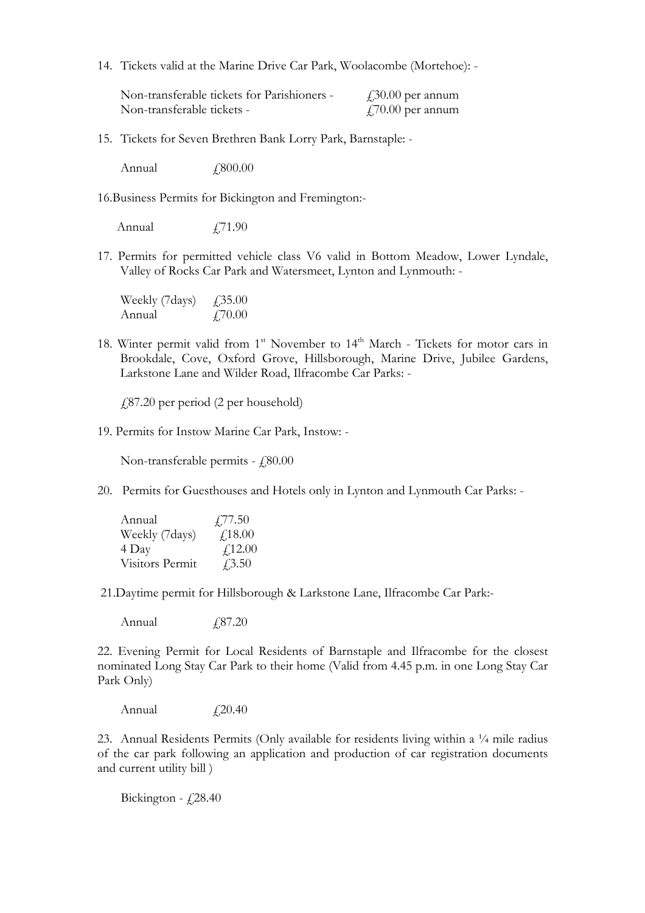14. Tickets valid at the Marine Drive Car Park, Woolacombe (Mortehoe): -

Non-transferable tickets for Parishioners -  $\angle$  430.00 per annum Non-transferable tickets -  $\qquad \qquad \text{(70.00 per annum)}$ 

15. Tickets for Seven Brethren Bank Lorry Park, Barnstaple: -

Annual  $f800.00$ 

16.Business Permits for Bickington and Fremington:-

Annual  $\qquad \qquad$   $\qquad$   $\qquad$   $\qquad$   $\qquad$   $\qquad$   $\qquad$   $\qquad$   $\qquad$   $\qquad$   $\qquad$   $\qquad$   $\qquad$   $\qquad$   $\qquad$   $\qquad$   $\qquad$   $\qquad$   $\qquad$   $\qquad$   $\qquad$   $\qquad$   $\qquad$   $\qquad$   $\qquad$   $\qquad$   $\qquad$   $\qquad$   $\qquad$   $\qquad$   $\qquad$   $\qquad$   $\qquad$   $\qquad$   $\qquad$ 

17. Permits for permitted vehicle class V6 valid in Bottom Meadow, Lower Lyndale, Valley of Rocks Car Park and Watersmeet, Lynton and Lynmouth: -

Weekly (7days)  $\angle$  £35.00 Annual  $f$ ,70.00

18. Winter permit valid from 1<sup>st</sup> November to 14<sup>th</sup> March - Tickets for motor cars in Brookdale, Cove, Oxford Grove, Hillsborough, Marine Drive, Jubilee Gardens, Larkstone Lane and Wilder Road, Ilfracombe Car Parks: -

£87.20 per period (2 per household)

19. Permits for Instow Marine Car Park, Instow: -

Non-transferable permits -  $f$ 80.00

20. Permits for Guesthouses and Hotels only in Lynton and Lynmouth Car Parks: -

| Annual          | $\sqrt{77.50}$ |
|-----------------|----------------|
| Weekly (7days)  | f18.00         |
| 4 Day           | f12.00         |
| Visitors Permit | $\sqrt{3.50}$  |

21.Daytime permit for Hillsborough & Larkstone Lane, Ilfracombe Car Park:-

Annual  $\qquad \qquad$   $\qquad$   $\qquad$   $\qquad$   $\qquad$   $\qquad$   $\qquad$   $\qquad$   $\qquad$   $\qquad$   $\qquad$   $\qquad$   $\qquad$   $\qquad$   $\qquad$   $\qquad$   $\qquad$   $\qquad$   $\qquad$   $\qquad$   $\qquad$   $\qquad$   $\qquad$   $\qquad$   $\qquad$   $\qquad$   $\qquad$   $\qquad$   $\qquad$   $\qquad$   $\qquad$   $\qquad$   $\qquad$   $\qquad$   $\qquad$ 

22. Evening Permit for Local Residents of Barnstaple and Ilfracombe for the closest nominated Long Stay Car Park to their home (Valid from 4.45 p.m. in one Long Stay Car Park Only)

Annual  $f$ , 20.40

23. Annual Residents Permits (Only available for residents living within a  $\frac{1}{4}$  mile radius of the car park following an application and production of car registration documents and current utility bill )

Bickington -  $f$ , 28.40